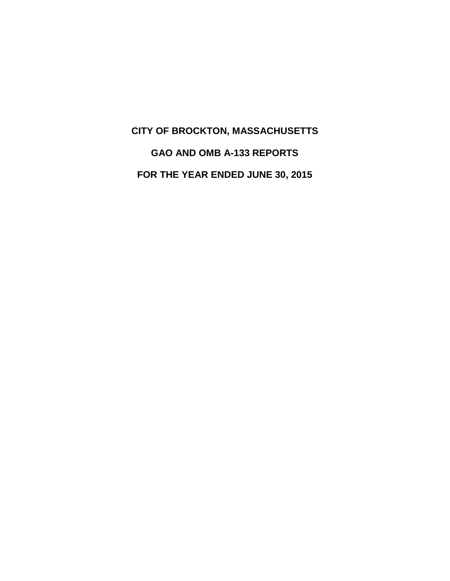# **CITY OF BROCKTON, MASSACHUSETTS GAO AND OMB A-133 REPORTS FOR THE YEAR ENDED JUNE 30, 2015**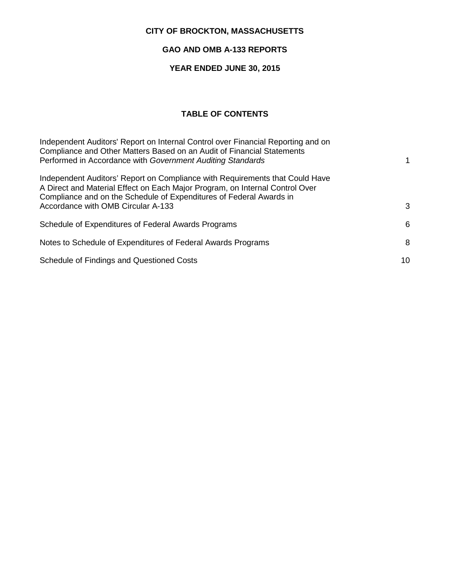# **CITY OF BROCKTON, MASSACHUSETTS**

# **GAO AND OMB A-133 REPORTS**

# **YEAR ENDED JUNE 30, 2015**

# **TABLE OF CONTENTS**

| Independent Auditors' Report on Internal Control over Financial Reporting and on<br>Compliance and Other Matters Based on an Audit of Financial Statements<br>Performed in Accordance with Government Auditing Standards                                                  |    |
|---------------------------------------------------------------------------------------------------------------------------------------------------------------------------------------------------------------------------------------------------------------------------|----|
| Independent Auditors' Report on Compliance with Requirements that Could Have<br>A Direct and Material Effect on Each Major Program, on Internal Control Over<br>Compliance and on the Schedule of Expenditures of Federal Awards in<br>Accordance with OMB Circular A-133 | 3  |
| Schedule of Expenditures of Federal Awards Programs                                                                                                                                                                                                                       | 6  |
| Notes to Schedule of Expenditures of Federal Awards Programs                                                                                                                                                                                                              | 8  |
| Schedule of Findings and Questioned Costs                                                                                                                                                                                                                                 | 10 |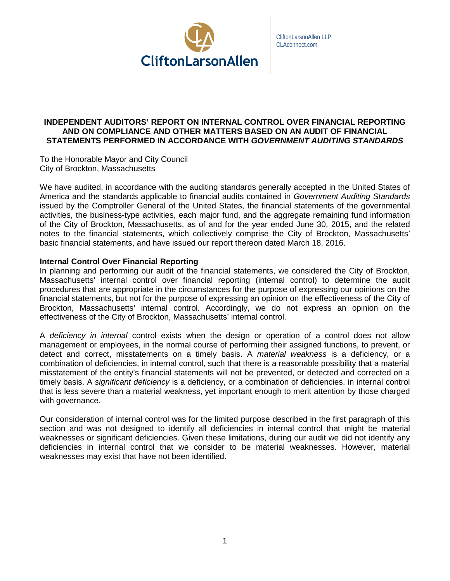

# <span id="page-3-0"></span>**INDEPENDENT AUDITORS' REPORT ON INTERNAL CONTROL OVER FINANCIAL REPORTING AND ON COMPLIANCE AND OTHER MATTERS BASED ON AN AUDIT OF FINANCIAL STATEMENTS PERFORMED IN ACCORDANCE WITH** *GOVERNMENT AUDITING STANDARDS*

To the Honorable Mayor and City Council City of Brockton, Massachusetts

We have audited, in accordance with the auditing standards generally accepted in the United States of America and the standards applicable to financial audits contained in *Government Auditing Standards* issued by the Comptroller General of the United States, the financial statements of the governmental activities, the business-type activities, each major fund, and the aggregate remaining fund information of the City of Brockton, Massachusetts, as of and for the year ended June 30, 2015, and the related notes to the financial statements, which collectively comprise the City of Brockton, Massachusetts' basic financial statements, and have issued our report thereon dated March 18, 2016.

#### **Internal Control Over Financial Reporting**

In planning and performing our audit of the financial statements, we considered the City of Brockton, Massachusetts' internal control over financial reporting (internal control) to determine the audit procedures that are appropriate in the circumstances for the purpose of expressing our opinions on the financial statements, but not for the purpose of expressing an opinion on the effectiveness of the City of Brockton, Massachusetts' internal control. Accordingly, we do not express an opinion on the effectiveness of the City of Brockton, Massachusetts' internal control.

A *deficiency in internal* control exists when the design or operation of a control does not allow management or employees, in the normal course of performing their assigned functions, to prevent, or detect and correct, misstatements on a timely basis. A *material weakness* is a deficiency, or a combination of deficiencies, in internal control, such that there is a reasonable possibility that a material misstatement of the entity's financial statements will not be prevented, or detected and corrected on a timely basis. A *significant deficiency* is a deficiency, or a combination of deficiencies, in internal control that is less severe than a material weakness, yet important enough to merit attention by those charged with governance.

Our consideration of internal control was for the limited purpose described in the first paragraph of this section and was not designed to identify all deficiencies in internal control that might be material weaknesses or significant deficiencies. Given these limitations, during our audit we did not identify any deficiencies in internal control that we consider to be material weaknesses. However, material weaknesses may exist that have not been identified.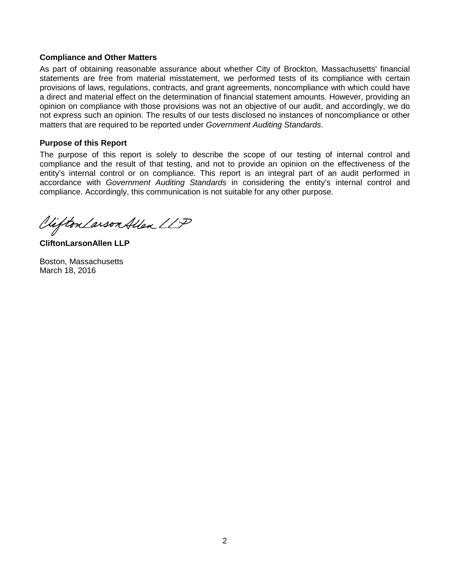#### **Compliance and Other Matters**

As part of obtaining reasonable assurance about whether City of Brockton, Massachusetts' financial statements are free from material misstatement, we performed tests of its compliance with certain provisions of laws, regulations, contracts, and grant agreements, noncompliance with which could have a direct and material effect on the determination of financial statement amounts. However, providing an opinion on compliance with those provisions was not an objective of our audit, and accordingly, we do not express such an opinion. The results of our tests disclosed no instances of noncompliance or other matters that are required to be reported under *Government Auditing Standards*.

#### **Purpose of this Report**

The purpose of this report is solely to describe the scope of our testing of internal control and compliance and the result of that testing, and not to provide an opinion on the effectiveness of the entity's internal control or on compliance. This report is an integral part of an audit performed in accordance with *Government Auditing Standards* in considering the entity's internal control and compliance. Accordingly, this communication is not suitable for any other purpose.

Clifton Larson Allen LLP

**CliftonLarsonAllen LLP**

Boston, Massachusetts March 18, 2016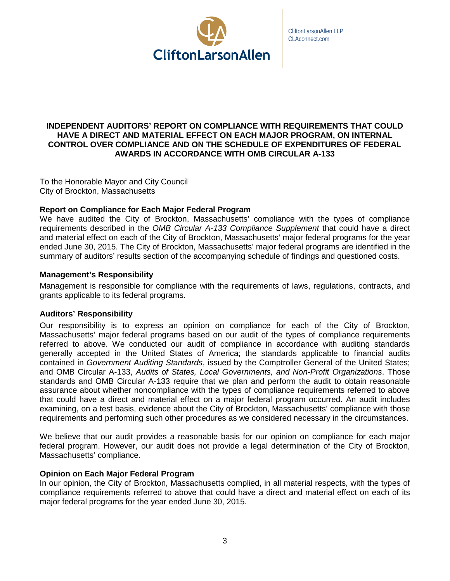

# <span id="page-5-0"></span>**INDEPENDENT AUDITORS' REPORT ON COMPLIANCE WITH REQUIREMENTS THAT COULD HAVE A DIRECT AND MATERIAL EFFECT ON EACH MAJOR PROGRAM, ON INTERNAL CONTROL OVER COMPLIANCE AND ON THE SCHEDULE OF EXPENDITURES OF FEDERAL AWARDS IN ACCORDANCE WITH OMB CIRCULAR A-133**

To the Honorable Mayor and City Council City of Brockton, Massachusetts

# **Report on Compliance for Each Major Federal Program**

We have audited the City of Brockton, Massachusetts' compliance with the types of compliance requirements described in the *OMB Circular A-133 Compliance Supplement* that could have a direct and material effect on each of the City of Brockton, Massachusetts' major federal programs for the year ended June 30, 2015. The City of Brockton, Massachusetts' major federal programs are identified in the summary of auditors' results section of the accompanying schedule of findings and questioned costs.

# **Management's Responsibility**

Management is responsible for compliance with the requirements of laws, regulations, contracts, and grants applicable to its federal programs.

#### **Auditors' Responsibility**

Our responsibility is to express an opinion on compliance for each of the City of Brockton, Massachusetts' major federal programs based on our audit of the types of compliance requirements referred to above. We conducted our audit of compliance in accordance with auditing standards generally accepted in the United States of America; the standards applicable to financial audits contained in *Government Auditing Standards*, issued by the Comptroller General of the United States; and OMB Circular A-133, *Audits of States, Local Governments, and Non-Profit Organizations*. Those standards and OMB Circular A-133 require that we plan and perform the audit to obtain reasonable assurance about whether noncompliance with the types of compliance requirements referred to above that could have a direct and material effect on a major federal program occurred. An audit includes examining, on a test basis, evidence about the City of Brockton, Massachusetts' compliance with those requirements and performing such other procedures as we considered necessary in the circumstances.

We believe that our audit provides a reasonable basis for our opinion on compliance for each major federal program. However, our audit does not provide a legal determination of the City of Brockton, Massachusetts' compliance.

# **Opinion on Each Major Federal Program**

In our opinion, the City of Brockton, Massachusetts complied, in all material respects, with the types of compliance requirements referred to above that could have a direct and material effect on each of its major federal programs for the year ended June 30, 2015.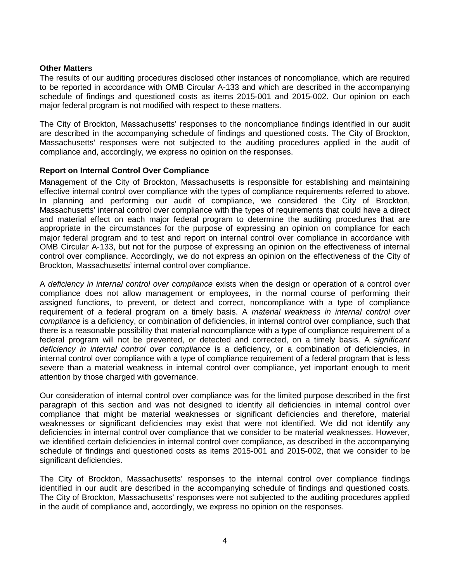#### **Other Matters**

The results of our auditing procedures disclosed other instances of noncompliance, which are required to be reported in accordance with OMB Circular A-133 and which are described in the accompanying schedule of findings and questioned costs as items 2015-001 and 2015-002. Our opinion on each major federal program is not modified with respect to these matters.

The City of Brockton, Massachusetts' responses to the noncompliance findings identified in our audit are described in the accompanying schedule of findings and questioned costs. The City of Brockton, Massachusetts' responses were not subjected to the auditing procedures applied in the audit of compliance and, accordingly, we express no opinion on the responses.

#### **Report on Internal Control Over Compliance**

Management of the City of Brockton, Massachusetts is responsible for establishing and maintaining effective internal control over compliance with the types of compliance requirements referred to above. In planning and performing our audit of compliance, we considered the City of Brockton, Massachusetts' internal control over compliance with the types of requirements that could have a direct and material effect on each major federal program to determine the auditing procedures that are appropriate in the circumstances for the purpose of expressing an opinion on compliance for each major federal program and to test and report on internal control over compliance in accordance with OMB Circular A-133, but not for the purpose of expressing an opinion on the effectiveness of internal control over compliance. Accordingly, we do not express an opinion on the effectiveness of the City of Brockton, Massachusetts' internal control over compliance.

A *deficiency in internal control over compliance* exists when the design or operation of a control over compliance does not allow management or employees, in the normal course of performing their assigned functions, to prevent, or detect and correct, noncompliance with a type of compliance requirement of a federal program on a timely basis. A *material weakness in internal control over compliance* is a deficiency, or combination of deficiencies, in internal control over compliance, such that there is a reasonable possibility that material noncompliance with a type of compliance requirement of a federal program will not be prevented, or detected and corrected, on a timely basis. A *significant deficiency in internal control over compliance* is a deficiency, or a combination of deficiencies, in internal control over compliance with a type of compliance requirement of a federal program that is less severe than a material weakness in internal control over compliance, yet important enough to merit attention by those charged with governance.

Our consideration of internal control over compliance was for the limited purpose described in the first paragraph of this section and was not designed to identify all deficiencies in internal control over compliance that might be material weaknesses or significant deficiencies and therefore, material weaknesses or significant deficiencies may exist that were not identified. We did not identify any deficiencies in internal control over compliance that we consider to be material weaknesses. However, we identified certain deficiencies in internal control over compliance, as described in the accompanying schedule of findings and questioned costs as items 2015-001 and 2015-002, that we consider to be significant deficiencies.

The City of Brockton, Massachusetts' responses to the internal control over compliance findings identified in our audit are described in the accompanying schedule of findings and questioned costs. The City of Brockton, Massachusetts' responses were not subjected to the auditing procedures applied in the audit of compliance and, accordingly, we express no opinion on the responses.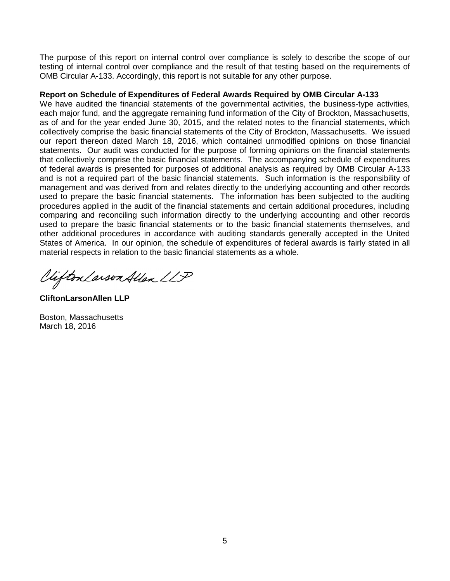The purpose of this report on internal control over compliance is solely to describe the scope of our testing of internal control over compliance and the result of that testing based on the requirements of OMB Circular A-133. Accordingly, this report is not suitable for any other purpose.

#### **Report on Schedule of Expenditures of Federal Awards Required by OMB Circular A-133**

We have audited the financial statements of the governmental activities, the business-type activities, each major fund, and the aggregate remaining fund information of the City of Brockton, Massachusetts, as of and for the year ended June 30, 2015, and the related notes to the financial statements, which collectively comprise the basic financial statements of the City of Brockton, Massachusetts. We issued our report thereon dated March 18, 2016, which contained unmodified opinions on those financial statements. Our audit was conducted for the purpose of forming opinions on the financial statements that collectively comprise the basic financial statements. The accompanying schedule of expenditures of federal awards is presented for purposes of additional analysis as required by OMB Circular A-133 and is not a required part of the basic financial statements. Such information is the responsibility of management and was derived from and relates directly to the underlying accounting and other records used to prepare the basic financial statements. The information has been subjected to the auditing procedures applied in the audit of the financial statements and certain additional procedures, including comparing and reconciling such information directly to the underlying accounting and other records used to prepare the basic financial statements or to the basic financial statements themselves, and other additional procedures in accordance with auditing standards generally accepted in the United States of America. In our opinion, the schedule of expenditures of federal awards is fairly stated in all material respects in relation to the basic financial statements as a whole.

Viifton Larson Allen LLP

**CliftonLarsonAllen LLP**

Boston, Massachusetts March 18, 2016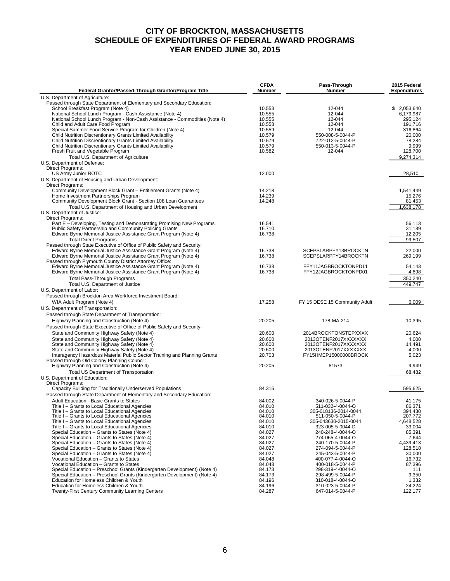# **CITY OF BROCKTON, MASSACHUSETTS SCHEDULE OF EXPENDITURES OF FEDERAL AWARD PROGRAMS YEAR ENDED JUNE 30, 2015**

<span id="page-8-0"></span>

| Federal Grantor/Passed-Through Grantor/Program Title                                                                                   | <b>CFDA</b><br><b>Number</b> | Pass-Through<br><b>Number</b>        | 2015 Federal<br><b>Expenditures</b> |
|----------------------------------------------------------------------------------------------------------------------------------------|------------------------------|--------------------------------------|-------------------------------------|
| U.S. Department of Agriculture:                                                                                                        |                              |                                      |                                     |
| Passed through State Department of Elementary and Secondary Education:                                                                 |                              |                                      |                                     |
| School Breakfast Program (Note 4)                                                                                                      | 10.553                       | 12-044                               | \$2,053,640                         |
| National School Lunch Program - Cash Assistance (Note 4)<br>National School Lunch Program - Non-Cash Assistance - Commodities (Note 4) | 10.555<br>10.555             | 12-044<br>12-044                     | 6,179,987<br>295.124                |
| Child and Adult Care Food Program                                                                                                      | 10.558                       | 12-044                               | 191,716                             |
| Special Summer Food Service Program for Children (Note 4)                                                                              | 10.559                       | 12-044                               | 316,864                             |
| Child Nutrition Discrentionary Grants Limited Availability                                                                             | 10.579                       | 550-008-5-0044-P                     | 20,000                              |
| Child Nutrition Discrentionary Grants Limited Availability                                                                             | 10.579                       | 722-012-5-0044-P                     | 78,284                              |
| Child Nutrition Discrentionary Grants Limited Availability<br>Fresh Fruit and Vegetable Program                                        | 10.579<br>10.582             | 550-013-5-0044-P<br>12-044           | 9,999<br>128,700                    |
| Total U.S. Department of Agriculture                                                                                                   |                              |                                      | 9,274,314                           |
| U.S. Department of Defense:                                                                                                            |                              |                                      |                                     |
| Direct Programs:                                                                                                                       |                              |                                      |                                     |
| US Army Junior ROTC                                                                                                                    | 12.000                       |                                      | 28,510                              |
| U.S. Department of Housing and Urban Development:                                                                                      |                              |                                      |                                     |
| Direct Programs:<br>Community Development Block Grant - Entitlement Grants (Note 4)                                                    | 14.218                       |                                      | 1,541,449                           |
| Home Investment Partnerships Program                                                                                                   | 14.239                       |                                      | 15,276                              |
| Community Development Block Grant - Section 108 Loan Guarantees                                                                        | 14.248                       |                                      | 81,453                              |
| Total U.S. Department of Housing and Urban Development                                                                                 |                              |                                      | 1,638,178                           |
| U.S. Department of Justice:                                                                                                            |                              |                                      |                                     |
| <b>Direct Programs:</b><br>Part E - Developing, Testing and Demonstrating Promising New Programs                                       | 16.541                       |                                      | 56,113                              |
| Public Safety Partnership and Community Policing Grants                                                                                | 16.710                       |                                      | 31,189                              |
| Edward Byrne Memorial Justice Assistance Grant Program (Note 4)                                                                        | 16.738                       |                                      | 12,205                              |
| <b>Total Direct Programs</b>                                                                                                           |                              |                                      | 99,507                              |
| Passed through State Executive of Office of Public Safety and Security:                                                                |                              |                                      |                                     |
| Edward Byrne Memorial Justice Assistance Grant Program (Note 4)<br>Edward Byrne Memorial Justice Assistance Grant Program (Note 4)     | 16.738<br>16.738             | SCEPSLARPFY13BROCKTN                 | 22,000                              |
| Passed through Plymouth County District Attorney Office:                                                                               |                              | SCEPSLARPFY14BROCKTN                 | 269,199                             |
| Edward Byrne Memorial Justice Assistance Grant Program (Note 4)                                                                        | 16.738                       | FFY11JAGBROCKTONPD11                 | 54,143                              |
| Edward Byrne Memorial Justice Assistance Grant Program (Note 4)                                                                        | 16.738                       | FFY12JAGBROCKTONPD01                 | 4,898                               |
| <b>Total Pass-Through Programs</b>                                                                                                     |                              |                                      | 350,240                             |
| Total U.S. Department of Justice                                                                                                       |                              |                                      | 449,747                             |
| U.S. Department of Labor:                                                                                                              |                              |                                      |                                     |
| Passed through Brockton Area Workforce Investment Board:<br>WIA Adult Program (Note 4)                                                 | 17.258                       |                                      | 6,009                               |
| U.S. Department of Transportation:                                                                                                     |                              | FY 15 DESE 15 Community Adult        |                                     |
| Passed through State Department of Transportation:                                                                                     |                              |                                      |                                     |
| Highway Planning and Construction (Note 4)                                                                                             | 20.205                       | 178-MA-214                           | 10,395                              |
| Passed through State Executive of Office of Public Safety and Security-                                                                |                              |                                      |                                     |
| State and Community Highway Safety (Note 4)                                                                                            | 20.600                       | 2014BROCKTONSTEPXXXX                 | 20,624                              |
| State and Community Highway Safety (Note 4)                                                                                            | 20.600                       | 2013OTENF2017XXXXXXX                 | 4.000                               |
| State and Community Highway Safety (Note 4)                                                                                            | 20.600                       | 2013OTENF2017XXXXXXX                 | 14,491                              |
| State and Community Highway Safety (Note 4)                                                                                            | 20.600                       | 2013OTENF2017XXXXXXX                 | 4,000                               |
| Interagency Hazardous Material Public Sector Training and Planning Grants<br>Passed through Old Colony Planning Council:               | 20.703                       | FY15HMEP15000000BROCK                | 5,023                               |
| Highway Planning and Construction (Note 4)                                                                                             | 20.205                       | 81573                                | 9,949                               |
| Total US Department of Transportation                                                                                                  |                              |                                      | 68,482                              |
| U.S. Department of Education:                                                                                                          |                              |                                      |                                     |
| Direct Programs:                                                                                                                       |                              |                                      |                                     |
| Capacity Building for Traditionally Underserved Populations                                                                            | 84.315                       |                                      | 595,625                             |
| Passed through State Department of Elementary and Secondary Education:                                                                 |                              |                                      |                                     |
| Adult Education - Basic Grants to States<br>Title I - Grants to Local Educational Agencies                                             | 84.002<br>84.010             | 340-026-5-0044-P<br>511-032-4-0044-O | 41,175<br>86,371                    |
| Title I – Grants to Local Educational Agencies                                                                                         | 84.010                       | 305-018136-2014-0044                 | 394,430                             |
| Title I - Grants to Local Educational Agencies                                                                                         | 84.010                       | 511-050-5-0044-P                     | 207,772                             |
| Title I - Grants to Local Educational Agencies                                                                                         | 84.010                       | 305-043630-2015-0044                 | 4,648,528                           |
| Title I - Grants to Local Educational Agencies<br>Special Education - Grants to States (Note 4)                                        | 84.010<br>84.027             | 323-005-5-0044-D<br>240-248-4-0044-O | 33,004<br>85,391                    |
| Special Education - Grants to States (Note 4)                                                                                          | 84.027                       | 274-065-4-0044-O                     | 7,644                               |
| Special Education - Grants to States (Note 4)                                                                                          | 84.027                       | 240-170-5-0044-P                     | 4,439,413                           |
| Special Education – Grants to States (Note 4)                                                                                          | 84.027                       | 274-094-5-0044-P                     | 128.518                             |
| Special Education - Grants to States (Note 4)                                                                                          | 84.027                       | 245-043-5-0044-P                     | 30,000                              |
| Vocational Education - Grants to States<br>Vocational Education - Grants to States                                                     | 84.048                       | 400-077-4-0044-O                     | 16,732                              |
| Special Education - Preschool Grants (Kindergarten Development) (Note 4)                                                               | 84.048<br>84.173             | 400-018-5-0044-P<br>298-319-4-0044-O | 87,396<br>111                       |
| Special Education - Preschool Grants (Kindergarten Development) (Note 4)                                                               | 84.173                       | 298-499-5-0044-P                     | 9,350                               |
| Education for Homeless Children & Youth                                                                                                | 84.196                       | 310-018-4-0044-O                     | 1,332                               |
| Education for Homeless Children & Youth                                                                                                | 84.196                       | 310-023-5-0044-P                     | 24,224                              |
| Twenty-First Century Community Learning Centers                                                                                        | 84.287                       | 647-014-5-0044-P                     | 122,177                             |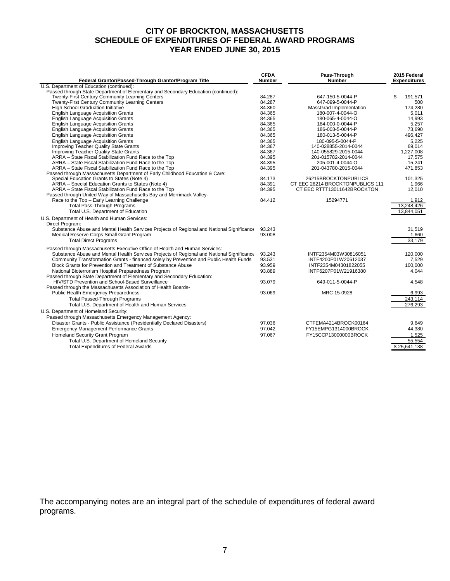# **CITY OF BROCKTON, MASSACHUSETTS SCHEDULE OF EXPENDITURES OF FEDERAL AWARD PROGRAMS YEAR ENDED JUNE 30, 2015**

| Federal Grantor/Passed-Through Grantor/Program Title                                                         | <b>CFDA</b><br><b>Number</b> | Pass-Through<br><b>Number</b>                            | 2015 Federal<br><b>Expenditures</b> |
|--------------------------------------------------------------------------------------------------------------|------------------------------|----------------------------------------------------------|-------------------------------------|
| U.S. Department of Education (continued):                                                                    |                              |                                                          |                                     |
| Passed through State Department of Elementary and Secondary Education (continued):                           |                              |                                                          |                                     |
| Twenty-First Century Community Learning Centers                                                              | 84.287                       | 647-150-5-0044-P                                         | \$<br>191,571                       |
| Twenty-First Century Community Learning Centers                                                              | 84.287                       | 647-099-5-0044-P                                         | 500                                 |
| <b>High School Graduation Initiative</b>                                                                     | 84.360                       | MassGrad Implementation                                  | 174.280                             |
| <b>English Language Acquisition Grants</b>                                                                   | 84.365                       | 180-007-4-0044-O                                         | 5,011                               |
| <b>English Language Acquisition Grants</b>                                                                   | 84.365                       | 180-065-4-0044-O                                         | 14.993                              |
| <b>English Language Acquisition Grants</b>                                                                   | 84.365                       | 184-000-0-0044-P                                         | 5,257                               |
| <b>English Language Acquisition Grants</b>                                                                   | 84.365                       | 186-003-5-0044-P                                         | 73,690                              |
| <b>English Language Acquisition Grants</b>                                                                   | 84.365                       | 180-013-5-0044-P                                         | 496,427                             |
| <b>English Language Acquisition Grants</b>                                                                   | 84.365                       | 180-095-5-0044-P                                         | 5,225                               |
| Improving Teacher Quality State Grants                                                                       | 84.367                       | 140-028855-2014-0044                                     | 69.014                              |
| Improving Teacher Quality State Grants                                                                       | 84.367                       | 140-055829-2015-0044                                     | 1,227,008                           |
| ARRA - State Fiscal Stabilization Fund Race to the Top                                                       | 84.395                       | 201-015782-2014-0044                                     | 17,575                              |
| ARRA - State Fiscal Stabilization Fund Race to the Top                                                       | 84.395                       | 205-001-4-0044-O                                         | 15.241                              |
| ARRA - State Fiscal Stabilization Fund Race to the Top                                                       | 84.395                       | 201-043780-2015-0044                                     | 471,853                             |
| Passed through Massachusetts Department of Early Childhood Education & Care:                                 | 84.173                       |                                                          |                                     |
| Special Education Grants to States (Note 4)                                                                  | 84.391                       | 26215BROCKTONPUBLICS<br>CT EEC 26214 BROCKTONPUBLICS 111 | 101,325                             |
| ARRA - Special Education Grants to States (Note 4)<br>ARRA - State Fiscal Stabilization Fund Race to the Top | 84.395                       | CT EEC RTTT13011642BROCKTON                              | 1,966<br>12,010                     |
| Passed through United Way of Massachusetts Bay and Merrimack Valley-                                         |                              |                                                          |                                     |
| Race to the Top - Early Learning Challenge                                                                   | 84.412                       | 15294771                                                 | 1,912                               |
| <b>Total Pass-Through Programs</b>                                                                           |                              |                                                          | 13,248,426                          |
| Total U.S. Department of Education                                                                           |                              |                                                          | 13,844,051                          |
| U.S. Department of Health and Human Services:                                                                |                              |                                                          |                                     |
| Direct Program:                                                                                              |                              |                                                          |                                     |
| Substance Abuse and Mental Health Services Projects of Regional and National Significance                    | 93.243                       |                                                          | 31,519                              |
| Medical Reserve Corps Small Grant Program                                                                    | 93.008                       |                                                          | 1,660                               |
| <b>Total Direct Programs</b>                                                                                 |                              |                                                          | 33,179                              |
|                                                                                                              |                              |                                                          |                                     |
| Passed through Massachusetts Executive Office of Health and Human Services:                                  |                              |                                                          |                                     |
| Substance Abuse and Mental Health Services Projects of Regional and National Significance                    | 93.243                       | INTF2354M03W30816051                                     | 120,000                             |
| Community Transformation Grants - financed solely by Prevention and Public Health Funds                      | 93.531                       | INTF4200P01W20612037                                     | 7,529                               |
| Block Grants for Prevention and Treatment of Substance Abuse                                                 | 93.959                       | INTF2354M04301822055                                     | 100,000                             |
| National Bioterrorism Hospital Preparedness Program                                                          | 93.889                       | INTF6207P01W21916380                                     | 4.044                               |
| Passed through State Department of Elementary and Secondary Education:                                       |                              |                                                          |                                     |
| HIV/STD Prevention and School-Based Surveillance                                                             | 93.079                       | 649-011-5-0044-P                                         | 4,548                               |
| Passed through the Massachusetts Association of Health Boards-<br>Public Health Emergency Preparedness       | 93.069                       | MRC 15-0928                                              | 6,993                               |
|                                                                                                              |                              |                                                          |                                     |
| <b>Total Passed-Through Programs</b>                                                                         |                              |                                                          | 243.114<br>276.293                  |
| Total U.S. Department of Health and Human Services                                                           |                              |                                                          |                                     |
| U.S. Department of Homeland Security:                                                                        |                              |                                                          |                                     |
| Passed through Massachusetts Emergency Management Agency:                                                    |                              |                                                          |                                     |
| Disaster Grants - Public Assistance (Presidentially Declared Disasters)                                      | 97.036                       | CTFEMA4214BROCK00164                                     | 9,649                               |
| <b>Emergency Management Performance Grants</b>                                                               | 97.042                       | FY15EMPG1314000BROCK                                     | 44,380                              |
| Homeland Security Grant Program                                                                              | 97.067                       | FY15CCP13000000BROCK                                     | 1,525                               |
| Total U.S. Department of Homeland Security                                                                   |                              |                                                          | 55.554                              |
| <b>Total Expenditures of Federal Awards</b>                                                                  |                              |                                                          | \$25.641.138                        |

The accompanying notes are an integral part of the schedule of expenditures of federal award programs.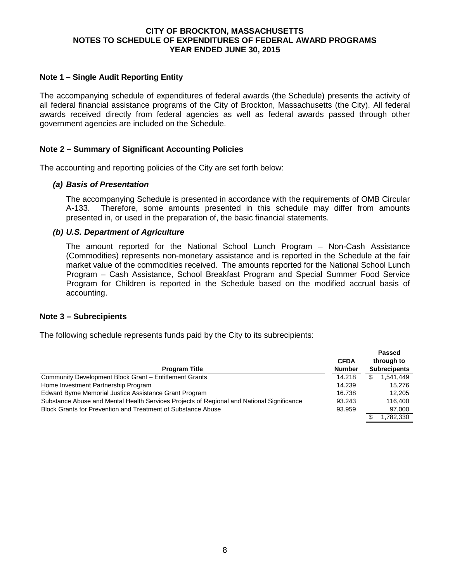### **CITY OF BROCKTON, MASSACHUSETTS NOTES TO SCHEDULE OF EXPENDITURES OF FEDERAL AWARD PROGRAMS YEAR ENDED JUNE 30, 2015**

### **Note 1 – Single Audit Reporting Entity**

The accompanying schedule of expenditures of federal awards (the Schedule) presents the activity of all federal financial assistance programs of the City of Brockton, Massachusetts (the City). All federal awards received directly from federal agencies as well as federal awards passed through other government agencies are included on the Schedule.

#### **Note 2 – Summary of Significant Accounting Policies**

The accounting and reporting policies of the City are set forth below:

#### *(a) Basis of Presentation*

The accompanying Schedule is presented in accordance with the requirements of OMB Circular A-133. Therefore, some amounts presented in this schedule may differ from amounts presented in, or used in the preparation of, the basic financial statements.

#### *(b) U.S. Department of Agriculture*

The amount reported for the National School Lunch Program – Non-Cash Assistance (Commodities) represents non-monetary assistance and is reported in the Schedule at the fair market value of the commodities received. The amounts reported for the National School Lunch Program – Cash Assistance, School Breakfast Program and Special Summer Food Service Program for Children is reported in the Schedule based on the modified accrual basis of accounting.

#### **Note 3 – Subrecipients**

The following schedule represents funds paid by the City to its subrecipients:

| <b>Program Title</b>                                                                      | <b>CFDA</b><br><b>Number</b> | Passed<br>through to<br><b>Subrecipents</b> |
|-------------------------------------------------------------------------------------------|------------------------------|---------------------------------------------|
| Community Development Block Grant - Entitlement Grants                                    | 14.218                       | 1.541.449<br>S                              |
| Home Investment Partnership Program                                                       | 14.239                       | 15.276                                      |
| Edward Byrne Memorial Justice Assistance Grant Program                                    | 16.738                       | 12.205                                      |
| Substance Abuse and Mental Health Services Projects of Regional and National Significance | 93.243                       | 116,400                                     |
| <b>Block Grants for Prevention and Treatment of Substance Abuse</b>                       | 93.959                       | 97,000                                      |
|                                                                                           |                              | .782.330                                    |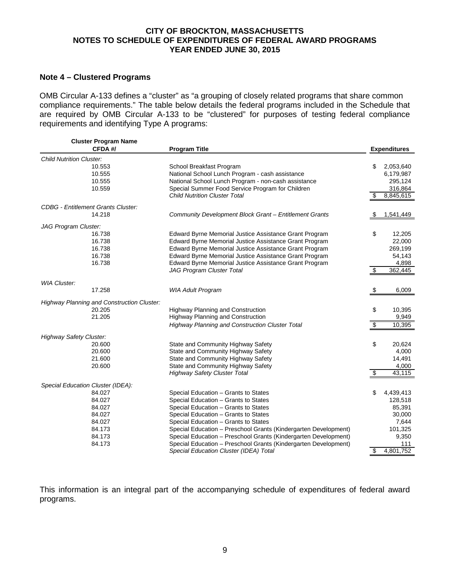#### **CITY OF BROCKTON, MASSACHUSETTS NOTES TO SCHEDULE OF EXPENDITURES OF FEDERAL AWARD PROGRAMS YEAR ENDED JUNE 30, 2015**

#### **Note 4 – Clustered Programs**

OMB Circular A-133 defines a "cluster" as "a grouping of closely related programs that share common compliance requirements." The table below details the federal programs included in the Schedule that are required by OMB Circular A-133 to be "clustered" for purposes of testing federal compliance requirements and identifying Type A programs:

| <b>Cluster Program Name</b>                |                                                                 |                           |                     |
|--------------------------------------------|-----------------------------------------------------------------|---------------------------|---------------------|
| CFDA#/                                     | <b>Program Title</b>                                            |                           | <b>Expenditures</b> |
| <b>Child Nutrition Cluster:</b>            |                                                                 |                           |                     |
| 10.553                                     | School Breakfast Program                                        | \$                        | 2,053,640           |
| 10.555                                     | National School Lunch Program - cash assistance                 |                           | 6,179,987           |
| 10.555                                     | National School Lunch Program - non-cash assistance             |                           | 295,124             |
| 10.559                                     | Special Summer Food Service Program for Children                |                           | 316,864             |
|                                            | <b>Child Nutrition Cluster Total</b>                            | $\boldsymbol{\mathsf{S}}$ | 8,845,615           |
| <b>CDBG</b> - Entitlement Grants Cluster:  |                                                                 |                           |                     |
| 14.218                                     | Community Development Block Grant - Entitlement Grants          |                           | 1,541,449           |
|                                            |                                                                 |                           |                     |
| <b>JAG Program Cluster:</b>                |                                                                 |                           |                     |
| 16.738                                     | Edward Byrne Memorial Justice Assistance Grant Program          | \$                        | 12,205              |
| 16.738                                     | Edward Byrne Memorial Justice Assistance Grant Program          |                           | 22,000              |
| 16.738                                     | Edward Byrne Memorial Justice Assistance Grant Program          |                           | 269,199             |
| 16.738                                     | Edward Byrne Memorial Justice Assistance Grant Program          |                           | 54,143              |
| 16.738                                     | Edward Byrne Memorial Justice Assistance Grant Program          |                           | 4,898               |
|                                            | JAG Program Cluster Total                                       | s)                        | 362,445             |
| <b>WIA Cluster:</b>                        |                                                                 |                           |                     |
| 17.258                                     | <b>WIA Adult Program</b>                                        | - \$                      | 6,009               |
|                                            |                                                                 |                           |                     |
| Highway Planning and Construction Cluster: |                                                                 |                           |                     |
| 20.205                                     | <b>Highway Planning and Construction</b>                        | \$                        | 10,395              |
| 21.205                                     | Highway Planning and Construction                               |                           | 9,949               |
|                                            | <b>Highway Planning and Construction Cluster Total</b>          | \$                        | 10,395              |
| <b>Highway Safety Cluster:</b>             |                                                                 |                           |                     |
| 20.600                                     | State and Community Highway Safety                              | \$                        | 20,624              |
| 20.600                                     | State and Community Highway Safety                              |                           | 4,000               |
| 21.600                                     | State and Community Highway Safety                              |                           | 14,491              |
| 20.600                                     | State and Community Highway Safety                              |                           | 4,000               |
|                                            | <b>Highway Safety Cluster Total</b>                             | $\overline{\$}$           | 43,115              |
|                                            |                                                                 |                           |                     |
| Special Education Cluster (IDEA):          |                                                                 |                           |                     |
| 84.027                                     | Special Education - Grants to States                            | \$                        | 4,439,413           |
| 84.027                                     | Special Education - Grants to States                            |                           | 128,518             |
| 84.027                                     | Special Education - Grants to States                            |                           | 85,391              |
| 84.027                                     | Special Education - Grants to States                            |                           | 30,000              |
| 84.027                                     | Special Education - Grants to States                            |                           | 7,644               |
| 84.173                                     | Special Education - Preschool Grants (Kindergarten Development) |                           | 101,325             |
| 84.173                                     | Special Education - Preschool Grants (Kindergarten Development) |                           | 9,350               |
| 84.173                                     | Special Education - Preschool Grants (Kindergarten Development) |                           | 111                 |
|                                            | Special Education Cluster (IDEA) Total                          | \$                        | 4,801,752           |

This information is an integral part of the accompanying schedule of expenditures of federal award programs.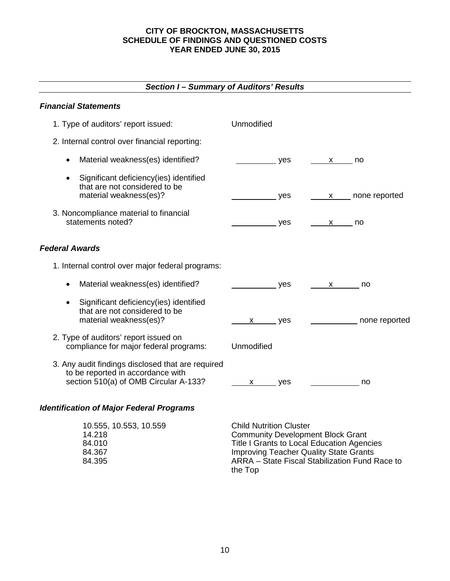<span id="page-12-0"></span>

| Section I – Summary of Auditors' Results                                                                                        |                                                                                                                                                                                                                                                                                                  |     |                                                                                                                                                                                                                                                                                                  |                      |
|---------------------------------------------------------------------------------------------------------------------------------|--------------------------------------------------------------------------------------------------------------------------------------------------------------------------------------------------------------------------------------------------------------------------------------------------|-----|--------------------------------------------------------------------------------------------------------------------------------------------------------------------------------------------------------------------------------------------------------------------------------------------------|----------------------|
| <b>Financial Statements</b>                                                                                                     |                                                                                                                                                                                                                                                                                                  |     |                                                                                                                                                                                                                                                                                                  |                      |
| 1. Type of auditors' report issued:                                                                                             | Unmodified                                                                                                                                                                                                                                                                                       |     |                                                                                                                                                                                                                                                                                                  |                      |
| 2. Internal control over financial reporting:                                                                                   |                                                                                                                                                                                                                                                                                                  |     |                                                                                                                                                                                                                                                                                                  |                      |
| Material weakness(es) identified?                                                                                               |                                                                                                                                                                                                                                                                                                  | yes | $\mathsf{X}$ and $\mathsf{X}$ and $\mathsf{X}$ and $\mathsf{X}$ are $\mathsf{X}$ and $\mathsf{X}$ and $\mathsf{X}$ are $\mathsf{X}$ and $\mathsf{X}$ are $\mathsf{X}$ and $\mathsf{X}$ are $\mathsf{X}$ and $\mathsf{X}$ are $\mathsf{X}$ and $\mathsf{X}$ are $\mathsf{X}$ and $\mathsf{X}$ are | no                   |
| Significant deficiency(ies) identified<br>$\bullet$<br>that are not considered to be<br>material weakness(es)?                  |                                                                                                                                                                                                                                                                                                  | yes |                                                                                                                                                                                                                                                                                                  | x ____ none reported |
| 3. Noncompliance material to financial<br>statements noted?                                                                     | _ yes                                                                                                                                                                                                                                                                                            |     | <u>x</u> no                                                                                                                                                                                                                                                                                      |                      |
| <b>Federal Awards</b>                                                                                                           |                                                                                                                                                                                                                                                                                                  |     |                                                                                                                                                                                                                                                                                                  |                      |
| 1. Internal control over major federal programs:                                                                                |                                                                                                                                                                                                                                                                                                  |     |                                                                                                                                                                                                                                                                                                  |                      |
| Material weakness(es) identified?                                                                                               |                                                                                                                                                                                                                                                                                                  | yes | $\mathsf{X}$ and $\mathsf{X}$ and $\mathsf{X}$ are $\mathsf{X}$ and $\mathsf{X}$ are $\mathsf{X}$ and $\mathsf{X}$ are $\mathsf{X}$ and $\mathsf{X}$ are $\mathsf{X}$ and $\mathsf{X}$ are $\mathsf{X}$ and $\mathsf{X}$ are $\mathsf{X}$ and $\mathsf{X}$ are $\mathsf{X}$ and $\mathsf{X}$ are | no                   |
| Significant deficiency(ies) identified<br>$\bullet$<br>that are not considered to be<br>material weakness(es)?                  | $\mathsf{X}$ and $\mathsf{X}$ and $\mathsf{X}$ and $\mathsf{X}$ are $\mathsf{X}$ and $\mathsf{X}$ and $\mathsf{X}$ are $\mathsf{X}$ and $\mathsf{X}$ are $\mathsf{X}$ and $\mathsf{X}$ and $\mathsf{X}$ are $\mathsf{X}$ and $\mathsf{X}$ are $\mathsf{X}$ and $\mathsf{X}$ are $\mathsf{X}$ and | yes |                                                                                                                                                                                                                                                                                                  | _ none reported      |
| 2. Type of auditors' report issued on<br>compliance for major federal programs:                                                 | Unmodified                                                                                                                                                                                                                                                                                       |     |                                                                                                                                                                                                                                                                                                  |                      |
| 3. Any audit findings disclosed that are required<br>to be reported in accordance with<br>section 510(a) of OMB Circular A-133? | X.                                                                                                                                                                                                                                                                                               | yes |                                                                                                                                                                                                                                                                                                  | no                   |

# *Identification of Major Federal Programs*

| 10.555, 10.553, 10.559 | <b>Child Nutrition Cluster</b>                 |
|------------------------|------------------------------------------------|
| 14.218                 | <b>Community Development Block Grant</b>       |
| 84.010                 | Title I Grants to Local Education Agencies     |
| 84.367                 | <b>Improving Teacher Quality State Grants</b>  |
| 84.395                 | ARRA - State Fiscal Stabilization Fund Race to |
|                        | the Top                                        |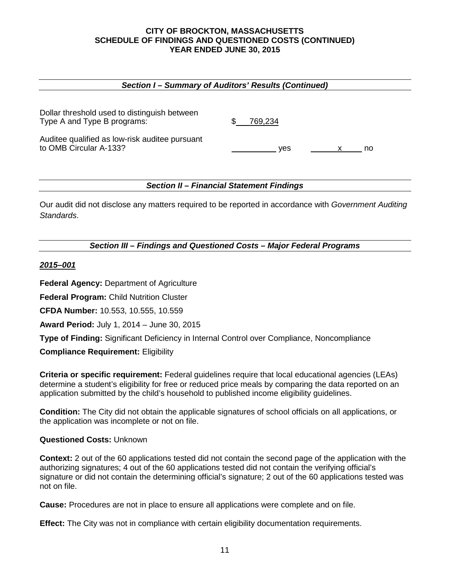| Section I - Summary of Auditors' Results (Continued)                        |         |         |  |
|-----------------------------------------------------------------------------|---------|---------|--|
| Dollar threshold used to distinguish between<br>Type A and Type B programs: | 769,234 |         |  |
| Auditee qualified as low-risk auditee pursuant<br>to OMB Circular A-133?    | ves     | no<br>x |  |
|                                                                             |         |         |  |

# *Section II – Financial Statement Findings*

Our audit did not disclose any matters required to be reported in accordance with *Government Auditing Standards*.

*Section III – Findings and Questioned Costs – Major Federal Programs*

# *2015–001*

**Federal Agency:** Department of Agriculture

**Federal Program:** Child Nutrition Cluster

**CFDA Number:** 10.553, 10.555, 10.559

**Award Period:** July 1, 2014 – June 30, 2015

**Type of Finding:** Significant Deficiency in Internal Control over Compliance, Noncompliance

**Compliance Requirement:** Eligibility

**Criteria or specific requirement:** Federal guidelines require that local educational agencies (LEAs) determine a student's eligibility for free or reduced price meals by comparing the data reported on an application submitted by the child's household to published income eligibility guidelines.

**Condition:** The City did not obtain the applicable signatures of school officials on all applications, or the application was incomplete or not on file.

# **Questioned Costs:** Unknown

**Context:** 2 out of the 60 applications tested did not contain the second page of the application with the authorizing signatures; 4 out of the 60 applications tested did not contain the verifying official's signature or did not contain the determining official's signature; 2 out of the 60 applications tested was not on file.

**Cause:** Procedures are not in place to ensure all applications were complete and on file.

**Effect:** The City was not in compliance with certain eligibility documentation requirements.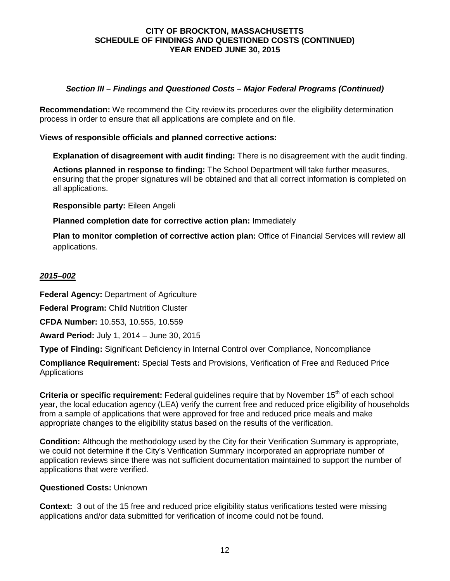# *Section III – Findings and Questioned Costs – Major Federal Programs (Continued)*

**Recommendation:** We recommend the City review its procedures over the eligibility determination process in order to ensure that all applications are complete and on file.

## **Views of responsible officials and planned corrective actions:**

**Explanation of disagreement with audit finding:** There is no disagreement with the audit finding.

**Actions planned in response to finding:** The School Department will take further measures, ensuring that the proper signatures will be obtained and that all correct information is completed on all applications.

**Responsible party:** Eileen Angeli

**Planned completion date for corrective action plan:** Immediately

**Plan to monitor completion of corrective action plan:** Office of Financial Services will review all applications.

# *2015–002*

**Federal Agency:** Department of Agriculture

**Federal Program:** Child Nutrition Cluster

**CFDA Number:** 10.553, 10.555, 10.559

**Award Period:** July 1, 2014 – June 30, 2015

**Type of Finding:** Significant Deficiency in Internal Control over Compliance, Noncompliance

**Compliance Requirement:** Special Tests and Provisions, Verification of Free and Reduced Price Applications

**Criteria or specific requirement:** Federal guidelines require that by November 15<sup>th</sup> of each school year, the local education agency (LEA) verify the current free and reduced price eligibility of households from a sample of applications that were approved for free and reduced price meals and make appropriate changes to the eligibility status based on the results of the verification.

**Condition:** Although the methodology used by the City for their Verification Summary is appropriate, we could not determine if the City's Verification Summary incorporated an appropriate number of application reviews since there was not sufficient documentation maintained to support the number of applications that were verified.

#### **Questioned Costs:** Unknown

**Context:** 3 out of the 15 free and reduced price eligibility status verifications tested were missing applications and/or data submitted for verification of income could not be found.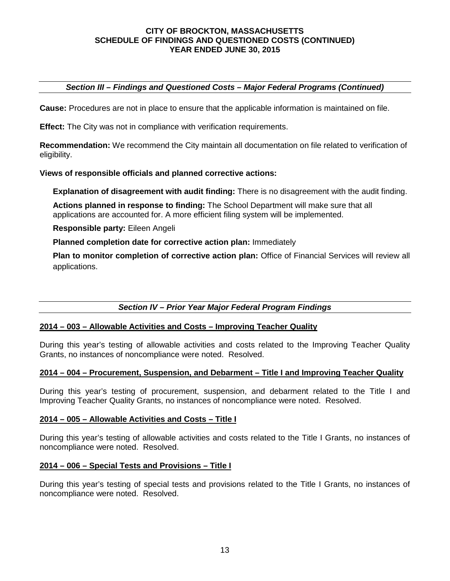# *Section III – Findings and Questioned Costs – Major Federal Programs (Continued)*

**Cause:** Procedures are not in place to ensure that the applicable information is maintained on file.

**Effect:** The City was not in compliance with verification requirements.

**Recommendation:** We recommend the City maintain all documentation on file related to verification of eligibility.

#### **Views of responsible officials and planned corrective actions:**

**Explanation of disagreement with audit finding:** There is no disagreement with the audit finding.

**Actions planned in response to finding:** The School Department will make sure that all applications are accounted for. A more efficient filing system will be implemented.

**Responsible party:** Eileen Angeli

**Planned completion date for corrective action plan:** Immediately

**Plan to monitor completion of corrective action plan:** Office of Financial Services will review all applications.

# *Section IV – Prior Year Major Federal Program Findings*

# **2014 – 003 – Allowable Activities and Costs – Improving Teacher Quality**

During this year's testing of allowable activities and costs related to the Improving Teacher Quality Grants, no instances of noncompliance were noted. Resolved.

# **2014 – 004 – Procurement, Suspension, and Debarment – Title I and Improving Teacher Quality**

During this year's testing of procurement, suspension, and debarment related to the Title I and Improving Teacher Quality Grants, no instances of noncompliance were noted. Resolved.

#### **2014 – 005 – Allowable Activities and Costs – Title I**

During this year's testing of allowable activities and costs related to the Title I Grants, no instances of noncompliance were noted. Resolved.

#### **2014 – 006 – Special Tests and Provisions – Title I**

During this year's testing of special tests and provisions related to the Title I Grants, no instances of noncompliance were noted. Resolved.